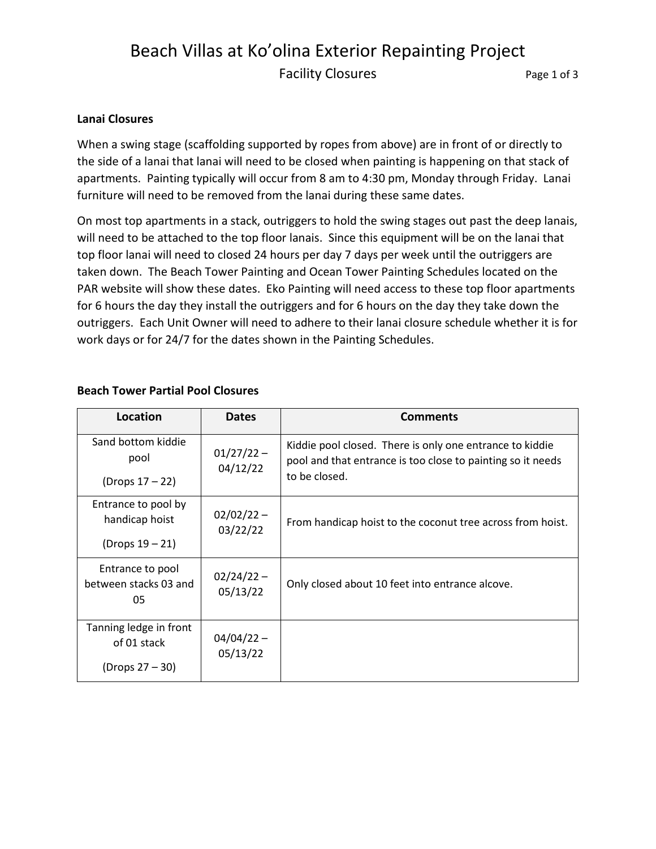# Beach Villas at Ko'olina Exterior Repainting Project Facility Closures **Page 1 of 3**

### **Lanai Closures**

When a swing stage (scaffolding supported by ropes from above) are in front of or directly to the side of a lanai that lanai will need to be closed when painting is happening on that stack of apartments. Painting typically will occur from 8 am to 4:30 pm, Monday through Friday. Lanai furniture will need to be removed from the lanai during these same dates.

On most top apartments in a stack, outriggers to hold the swing stages out past the deep lanais, will need to be attached to the top floor lanais. Since this equipment will be on the lanai that top floor lanai will need to closed 24 hours per day 7 days per week until the outriggers are taken down. The Beach Tower Painting and Ocean Tower Painting Schedules located on the PAR website will show these dates. Eko Painting will need access to these top floor apartments for 6 hours the day they install the outriggers and for 6 hours on the day they take down the outriggers. Each Unit Owner will need to adhere to their lanai closure schedule whether it is for work days or for 24/7 for the dates shown in the Painting Schedules.

| Location                                        | <b>Dates</b>             | <b>Comments</b>                                                                                                                          |
|-------------------------------------------------|--------------------------|------------------------------------------------------------------------------------------------------------------------------------------|
| Sand bottom kiddie<br>pool                      | $01/27/22 -$<br>04/12/22 | Kiddie pool closed. There is only one entrance to kiddie<br>pool and that entrance is too close to painting so it needs<br>to be closed. |
| (Drops $17 - 22$ )                              |                          |                                                                                                                                          |
| Entrance to pool by<br>handicap hoist           | $02/02/22 -$<br>03/22/22 | From handicap hoist to the coconut tree across from hoist.                                                                               |
| $(Drops 19 - 21)$                               |                          |                                                                                                                                          |
| Entrance to pool<br>between stacks 03 and<br>05 | $02/24/22 -$<br>05/13/22 | Only closed about 10 feet into entrance alcove.                                                                                          |
| Tanning ledge in front<br>of 01 stack           | $04/04/22 -$<br>05/13/22 |                                                                                                                                          |
| (Drops $27 - 30$ )                              |                          |                                                                                                                                          |

### **Beach Tower Partial Pool Closures**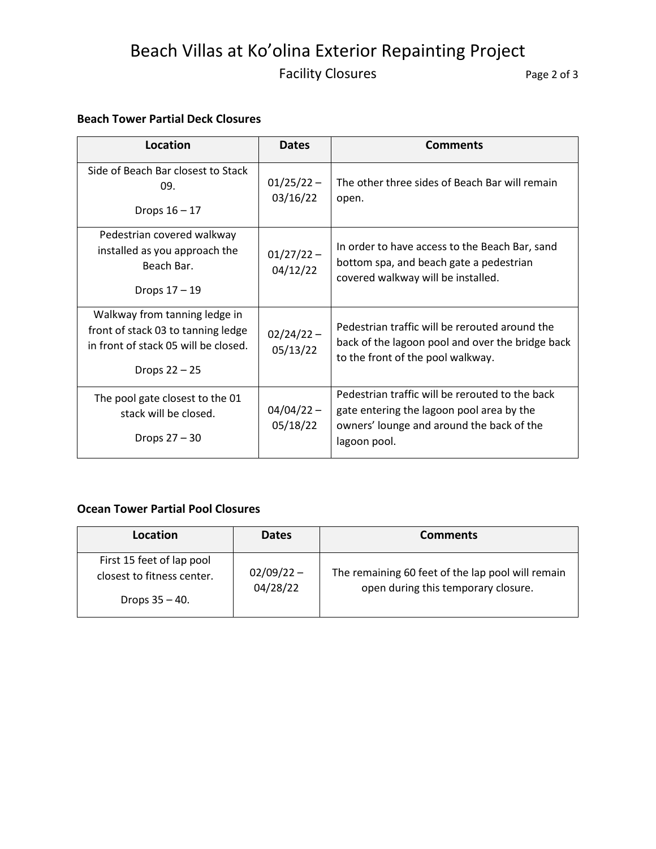# Beach Villas at Ko'olina Exterior Repainting Project Facility Closures The Page 2 of 3

# **Beach Tower Partial Deck Closures**

| Location                                                                                                                       | <b>Dates</b>             | <b>Comments</b>                                                                                                                                           |
|--------------------------------------------------------------------------------------------------------------------------------|--------------------------|-----------------------------------------------------------------------------------------------------------------------------------------------------------|
| Side of Beach Bar closest to Stack<br>09.<br>Drops $16 - 17$                                                                   | $01/25/22 -$<br>03/16/22 | The other three sides of Beach Bar will remain<br>open.                                                                                                   |
| Pedestrian covered walkway<br>installed as you approach the<br>Beach Bar.<br>Drops 17 - 19                                     | $01/27/22 -$<br>04/12/22 | In order to have access to the Beach Bar, sand<br>bottom spa, and beach gate a pedestrian<br>covered walkway will be installed.                           |
| Walkway from tanning ledge in<br>front of stack 03 to tanning ledge<br>in front of stack 05 will be closed.<br>Drops $22 - 25$ | $02/24/22 -$<br>05/13/22 | Pedestrian traffic will be rerouted around the<br>back of the lagoon pool and over the bridge back<br>to the front of the pool walkway.                   |
| The pool gate closest to the 01<br>stack will be closed.<br>Drops $27 - 30$                                                    | $04/04/22 -$<br>05/18/22 | Pedestrian traffic will be rerouted to the back<br>gate entering the lagoon pool area by the<br>owners' lounge and around the back of the<br>lagoon pool. |

# **Ocean Tower Partial Pool Closures**

| Location                                                                     | <b>Dates</b>             | <b>Comments</b>                                                                          |
|------------------------------------------------------------------------------|--------------------------|------------------------------------------------------------------------------------------|
| First 15 feet of lap pool<br>closest to fitness center.<br>Drops $35 - 40$ . | $02/09/22 -$<br>04/28/22 | The remaining 60 feet of the lap pool will remain<br>open during this temporary closure. |